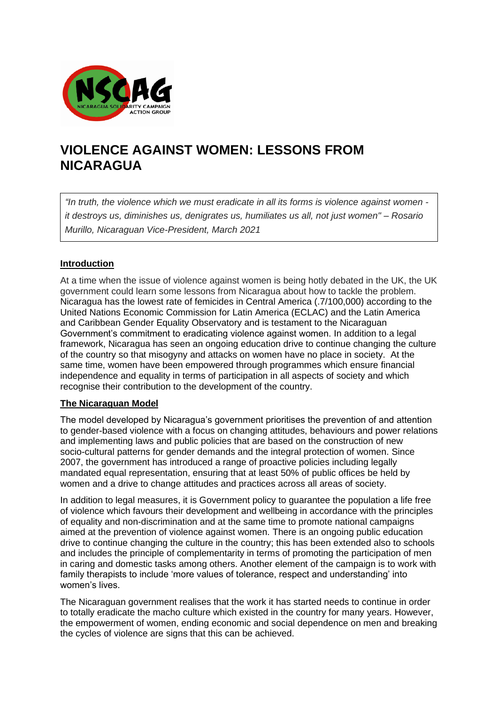

# **VIOLENCE AGAINST WOMEN: LESSONS FROM NICARAGUA**

*"In truth, the violence which we must eradicate in all its forms is violence against women it destroys us, diminishes us, denigrates us, humiliates us all, not just women" – Rosario Murillo, Nicaraguan Vice-President, March 2021*

# **Introduction**

At a time when the issue of violence against women is being hotly debated in the UK, the UK government could learn some lessons from Nicaragua about how to tackle the problem. Nicaragua has the lowest rate of femicides in Central America (.7/100,000) according to the United Nations Economic Commission for Latin America (ECLAC) and the Latin America and Caribbean Gender Equality Observatory and is testament to the Nicaraguan Government's commitment to eradicating violence against women. In addition to a legal framework, Nicaragua has seen an ongoing education drive to continue changing the culture of the country so that misogyny and attacks on women have no place in society. At the same time, women have been empowered through programmes which ensure financial independence and equality in terms of participation in all aspects of society and which recognise their contribution to the development of the country.

## **The Nicaraguan Model**

The model developed by Nicaragua's government prioritises the prevention of and attention to gender-based violence with a focus on changing attitudes, behaviours and power relations and implementing laws and public policies that are based on the construction of new socio-cultural patterns for gender demands and the integral protection of women. Since 2007, the government has introduced a range of proactive policies including legally mandated equal representation, ensuring that at least 50% of public offices be held by women and a drive to change attitudes and practices across all areas of society.

In addition to legal measures, it is Government policy to guarantee the population a life free of violence which favours their development and wellbeing in accordance with the principles of equality and non-discrimination and at the same time to promote national campaigns aimed at the prevention of violence against women. There is an ongoing public education drive to continue changing the culture in the country; this has been extended also to schools and includes the principle of complementarity in terms of promoting the participation of men in caring and domestic tasks among others. Another element of the campaign is to work with family therapists to include 'more values of tolerance, respect and understanding' into women's lives.

The Nicaraguan government realises that the work it has started needs to continue in order to totally eradicate the macho culture which existed in the country for many years. However, the empowerment of women, ending economic and social dependence on men and breaking the cycles of violence are signs that this can be achieved.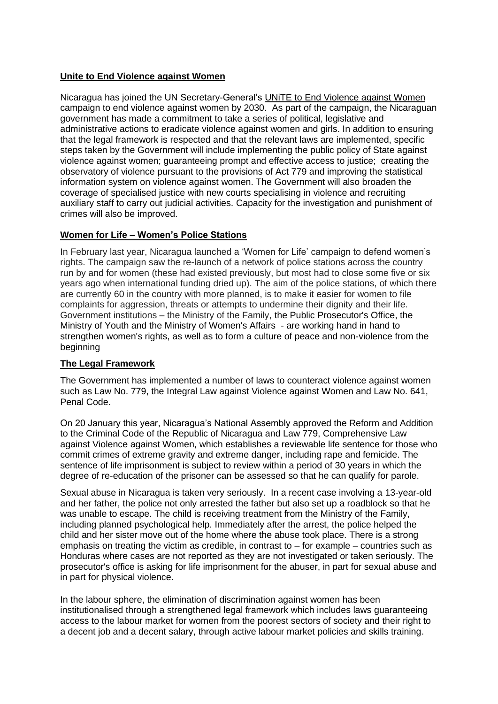# **Unite to End Violence against Women**

Nicaragua has joined the UN Secretary-General's [UNiTE to End Violence against Women](https://www.unwomen.org/en/what-we-do/ending-violence-against-women/take-action) campaign to end violence against women by 2030. As part of the campaign, the Nicaraguan government has made a commitment to take a series of political, legislative and administrative actions to eradicate violence against women and girls. In addition to ensuring that the legal framework is respected and that the relevant laws are implemented, specific steps taken by the Government will include implementing the public policy of State against violence against women; guaranteeing prompt and effective access to justice; creating the observatory of violence pursuant to the provisions of Act 779 and improving the statistical information system on violence against women. The Government will also broaden the coverage of specialised justice with new courts specialising in violence and recruiting auxiliary staff to carry out judicial activities. Capacity for the investigation and punishment of crimes will also be improved.

# **Women for Life – Women's Police Stations**

In February last year, Nicaragua launched a 'Women for Life' campaign to defend women's rights. The campaign saw the re-launch of a network of police stations across the country run by and for women (these had existed previously, but most had to close some five or six years ago when international funding dried up). The aim of the police stations, of which there are currently 60 in the country with more planned, is to make it easier for women to file complaints for aggression, threats or attempts to undermine their dignity and their life. Government institutions – the Ministry of the Family, the Public Prosecutor's Office, the Ministry of Youth and the Ministry of Women's Affairs - are working hand in hand to strengthen women's rights, as well as to form a culture of peace and non-violence from the beginning

# **The Legal Framework**

The Government has implemented a number of laws to counteract violence against women such as Law No. 779, the Integral Law against Violence against Women and Law No. 641, Penal Code.

On 20 January this year, Nicaragua's National Assembly approved the Reform and Addition to the Criminal Code of the Republic of Nicaragua and Law 779, Comprehensive Law against Violence against Women, which establishes a reviewable life sentence for those who commit crimes of extreme gravity and extreme danger, including rape and femicide. The sentence of life imprisonment is subject to review within a period of 30 years in which the degree of re-education of the prisoner can be assessed so that he can qualify for parole.

Sexual abuse in Nicaragua is taken very seriously. In a recent case involving a 13-year-old and her father, the police not only arrested the father but also set up a roadblock so that he was unable to escape. The child is receiving treatment from the Ministry of the Family, including planned psychological help. Immediately after the arrest, the police helped the child and her sister move out of the home where the abuse took place. There is a strong emphasis on treating the victim as credible, in contrast to – for example – countries such as Honduras where cases are not reported as they are not investigated or taken seriously. The prosecutor's office is asking for life imprisonment for the abuser, in part for sexual abuse and in part for physical violence.

In the labour sphere, the elimination of discrimination against women has been institutionalised through a strengthened legal framework which includes laws guaranteeing access to the labour market for women from the poorest sectors of society and their right to a decent job and a decent salary, through active labour market policies and skills training.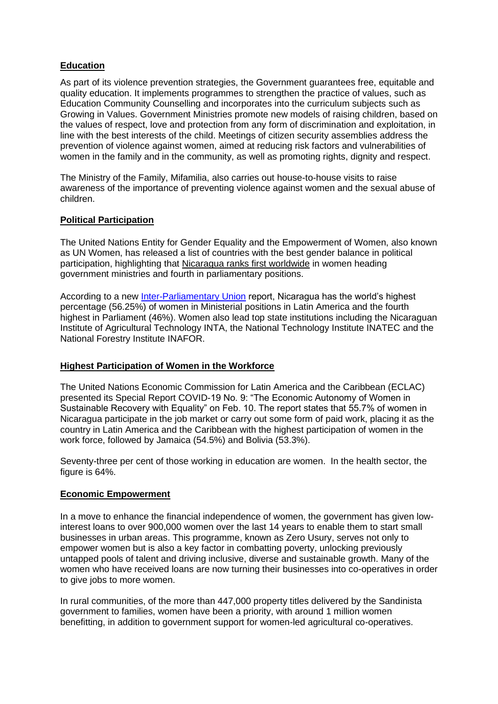# **Education**

As part of its violence prevention strategies, the Government guarantees free, equitable and quality education. It implements programmes to strengthen the practice of values, such as Education Community Counselling and incorporates into the curriculum subjects such as Growing in Values. Government Ministries promote new models of raising children, based on the values of respect, love and protection from any form of discrimination and exploitation, in line with the best interests of the child. Meetings of citizen security assemblies address the prevention of violence against women, aimed at reducing risk factors and vulnerabilities of women in the family and in the community, as well as promoting rights, dignity and respect.

The Ministry of the Family, Mifamilia, also carries out house-to-house visits to raise awareness of the importance of preventing violence against women and the sexual abuse of children.

## **Political Participation**

The United Nations Entity for Gender Equality and the Empowerment of Women, also known as UN Women, has released a list of countries with the best gender balance in political participation, highlighting that [Nicaragua ranks first worldwide](https://www.unwomen.org/en/news/stories/2021/3/press-release-women-in-politics-new-data-shows-growth-but-also-setbacks) in women heading government ministries and fourth in parliamentary positions.

According to a new **Inter-Parliamentary Union** report, Nicaragua has the world's highest percentage (56.25%) of women in Ministerial positions in Latin America and the fourth highest in Parliament (46%). Women also lead top state institutions including the Nicaraguan Institute of Agricultural Technology INTA, the National Technology Institute INATEC and the National Forestry Institute INAFOR.

## **Highest Participation of Women in the Workforce**

The United Nations Economic Commission for Latin America and the Caribbean (ECLAC) presented its Special Report COVID-19 No. 9: "The Economic Autonomy of Women in Sustainable Recovery with Equality" on Feb. 10. The report states that 55.7% of women in Nicaragua participate in the job market or carry out some form of paid work, placing it as the country in Latin America and the Caribbean with the highest participation of women in the work force, followed by Jamaica (54.5%) and Bolivia (53.3%).

Seventy-three per cent of those working in education are women. In the health sector, the figure is 64%.

## **Economic Empowerment**

In a move to enhance the financial independence of women, the government has given lowinterest loans to over 900,000 women over the last 14 years to enable them to start small businesses in urban areas. This programme, known as Zero Usury, serves not only to empower women but is also a key factor in combatting poverty, unlocking previously untapped pools of talent and driving inclusive, diverse and sustainable growth. Many of the women who have received loans are now turning their businesses into co-operatives in order to give jobs to more women.

In rural communities, of the more than 447,000 property titles delivered by the Sandinista government to families, women have been a priority, with around 1 million women benefitting, in addition to government support for women-led agricultural co-operatives.